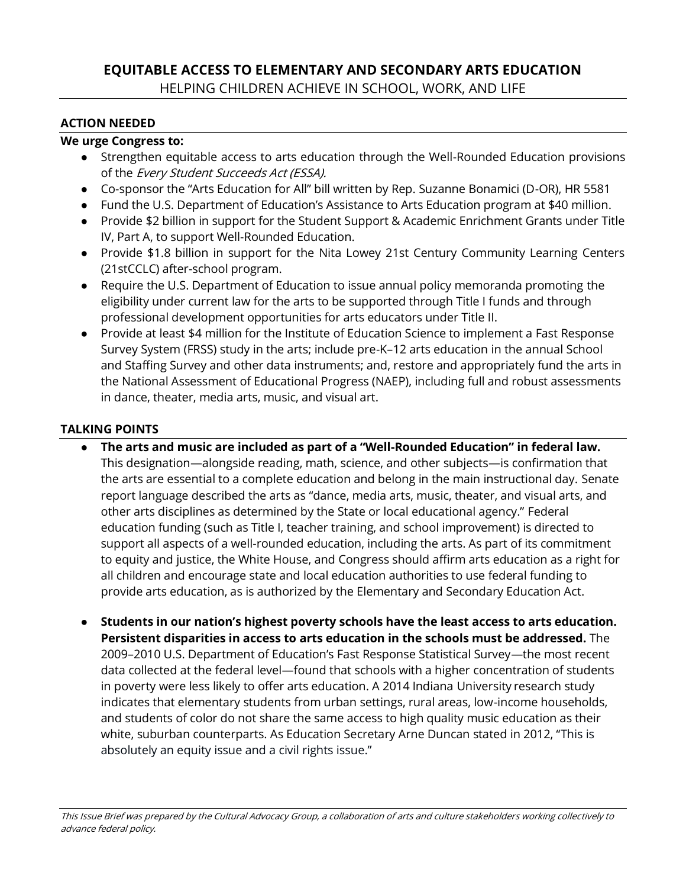## **EQUITABLE ACCESS TO ELEMENTARY AND SECONDARY ARTS EDUCATION** HELPING CHILDREN ACHIEVE IN SCHOOL, WORK, AND LIFE

## **ACTION NEEDED**

## **We urge Congress to:**

- Strengthen equitable access to arts education through the Well-Rounded Education provisions of the Every Student Succeeds Act (ESSA).
- Co-sponsor the "Arts Education for All" bill written by Rep. Suzanne Bonamici (D-OR), HR 5581
- Fund the U.S. Department of Education's Assistance to Arts Education program at \$40 million.
- Provide \$2 billion in support for the Student Support & Academic Enrichment Grants under Title IV, Part A, to support Well-Rounded Education.
- Provide \$1.8 billion in support for the Nita Lowey 21st Century Community Learning Centers (21stCCLC) after-school program.
- Require the U.S. Department of Education to issue annual policy memoranda promoting the eligibility under current law for the arts to be supported through Title I funds and through professional development opportunities for arts educators under Title II.
- Provide at least \$4 million for the Institute of Education Science to implement a Fast Response Survey System (FRSS) study in the arts; include pre-K–12 arts education in the annual School and Staffing Survey and other data instruments; and, restore and appropriately fund the arts in the National Assessment of Educational Progress (NAEP), including full and robust assessments in dance, theater, media arts, music, and visual art.

## **TALKING POINTS**

- **The arts and music are included as part of a "Well-Rounded Education" in federal law.**  This designation—alongside reading, math, science, and other subjects—is confirmation that the arts are essential to a complete education and belong in the main instructional day. Senate report language described the arts as "dance, media arts, music, theater, and visual arts, and other arts disciplines as determined by the State or local educational agency." Federal education funding (such as Title I, teacher training, and school improvement) is directed to support all aspects of a well-rounded education, including the arts. As part of its commitment to equity and justice, the White House, and Congress should affirm arts education as a right for all children and encourage state and local education authorities to use federal funding to provide arts education, as is authorized by the Elementary and Secondary Education Act.
- **Students in our nation's highest poverty schools have the least access to arts education. Persistent disparities in access to arts education in the schools must be addressed.** The 2009–2010 U.S. Department of Education's Fast Response Statistical Survey—the most recent data collected at the federal level—found that schools with a higher concentration of students in poverty were less likely to offer arts education. A 2014 Indiana University research study indicates that elementary students from urban settings, rural areas, low-income households, and students of color do not share the same access to high quality music education as their white, suburban counterparts. As Education Secretary Arne Duncan stated in 2012, "This is absolutely an equity issue and a civil rights issue."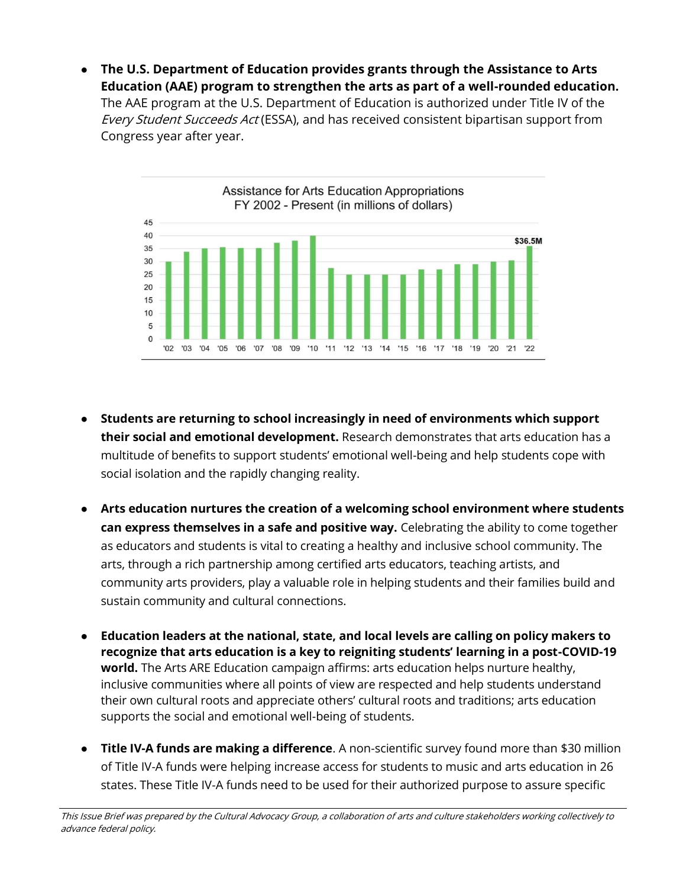● **The U.S. Department of Education provides grants through the Assistance to Arts Education (AAE) program to strengthen the arts as part of a well-rounded education.**  The AAE program at the U.S. Department of Education is authorized under Title IV of the Every Student Succeeds Act (ESSA), and has received consistent bipartisan support from Congress year after year.



- **Students are returning to school increasingly in need of environments which support their social and emotional development.** Research demonstrates that arts education has a multitude of benefits to support students' emotional well-being and help students cope with social isolation and the rapidly changing reality.
- **Arts education nurtures the creation of a welcoming school environment where students can express themselves in a safe and positive way.** Celebrating the ability to come together as educators and students is vital to creating a healthy and inclusive school community. The arts, through a rich partnership among certified arts educators, teaching artists, and community arts providers, play a valuable role in helping students and their families build and sustain community and cultural connections.
- **Education leaders at the national, state, and local levels are calling on policy makers to recognize that arts education is a key to reigniting students' learning in a post-COVID-19 world.** The Arts ARE Education campaign affirms: arts education helps nurture healthy, inclusive communities where all points of view are respected and help students understand their own cultural roots and appreciate others' cultural roots and traditions; arts education supports the social and emotional well-being of students.
- **Title IV-A funds are making a difference**. A non-scientific survey found more than \$30 million of Title IV-A funds were helping increase access for students to music and arts education in 26 states. These Title IV-A funds need to be used for their authorized purpose to assure specific

This Issue Brief was prepared by the Cultural Advocacy Group, a collaboration of arts and culture stakeholders working collectively to advance federal policy.